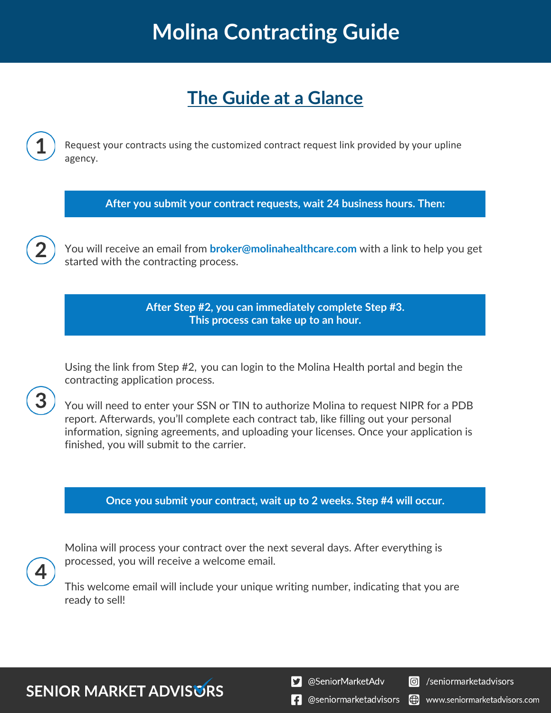# **Molina Contracting Guide**

### **The Guide at a Glance**

Request your contracts using the customized contract request link provided by your upline agency.

**After you submit your contract requests, wait 24 business hours. Then:**

You will receive an email from **broker@molinahealthcare.com** with a link to help you get started with the contracting process.

> **After Step #2, you can immediately complete Step #3. This process can take up to an hour.**

Using the link from Step #2, you can login to the Molina Health portal and begin the contracting application process.

You will need to enter your SSN or TIN to authorize Molina to request NIPR for a PDB report. Afterwards, you'll complete each contract tab, like filling out your personal information, signing agreements, and uploading your licenses. Once your application is finished, you will submit to the carrier.

#### **Once you submit your contract, wait up to 2 weeks. Step #4 will occur.**



Molina will process your contract over the next several days. After everything is processed, you will receive a welcome email.

This welcome email will include your unique writing number, indicating that you are ready to sell!

### **SENIOR MARKET ADVISORS**

S @SeniorMarketAdv



**f** @seniormarketadvisors www.seniormarketadvisors.com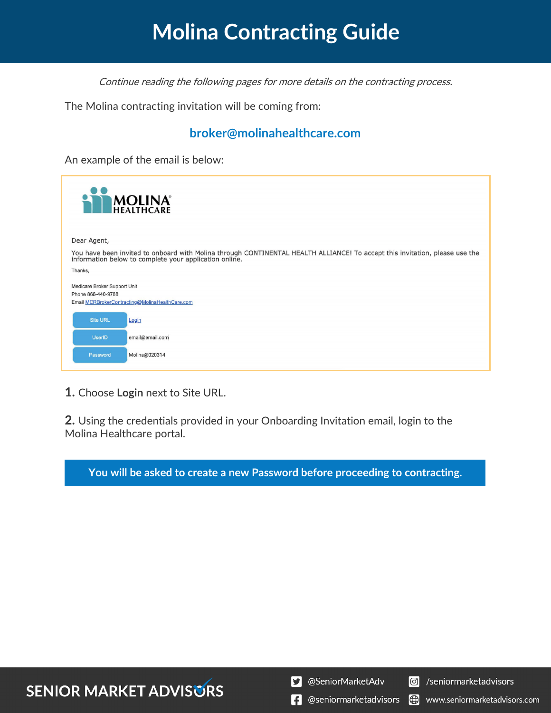# **Molina Contracting Guide**

Continue reading the following pages for more details on the contracting process.

The Molina contracting invitation will be coming from:

#### **broker@molinahealthcare.com**

An example of the email is below:

| <b>MOLINA</b>                                      |                                                                                                                                                                                       |
|----------------------------------------------------|---------------------------------------------------------------------------------------------------------------------------------------------------------------------------------------|
| Dear Agent,                                        |                                                                                                                                                                                       |
|                                                    | You have been invited to onboard with Molina through CONTINENTAL HEALTH ALLIANCE! To accept this invitation, please use the<br>information below to complete your application online. |
| Thanks,                                            |                                                                                                                                                                                       |
| Medicare Broker Support Unit<br>Phone 866-440-9788 | Email MCRBrokerContracting@MolinaHealthCare.com                                                                                                                                       |
| <b>Site URL</b>                                    | Login                                                                                                                                                                                 |
| <b>UserID</b>                                      | email@email.com                                                                                                                                                                       |
| Password                                           | Molina@020314                                                                                                                                                                         |

**1.** Choose **Login** next to Site URL.

**2.** Using the credentials provided in your Onboarding Invitation email, login to the Molina Healthcare portal.

**You will be asked to create a new Password before proceeding to contracting.**



S @SeniorMarketAdv



**1** @seniormarketadvisors () www.seniormarketadvisors.com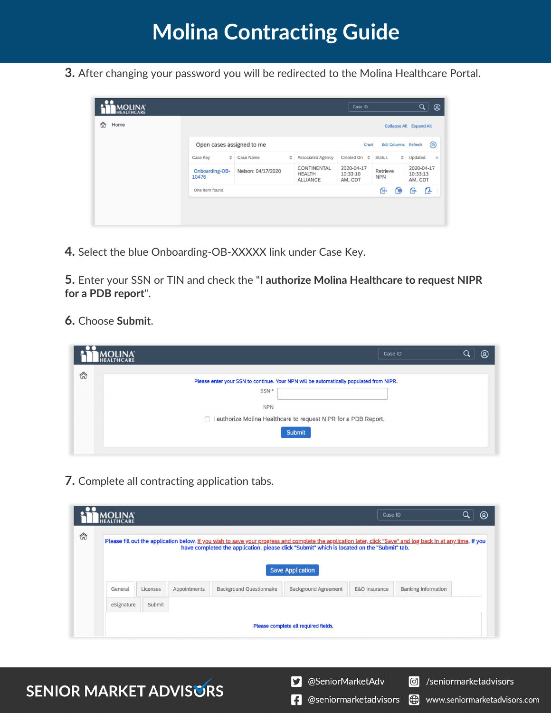**3.** After changing your password you will be redirected to the Molina Healthcare Portal.

| <b>MOLINA</b><br>HEALTHCARE |                           |                    |   |                                                        | Case ID                           |                        |               | $\alpha$                          | $^{\circ}$ |
|-----------------------------|---------------------------|--------------------|---|--------------------------------------------------------|-----------------------------------|------------------------|---------------|-----------------------------------|------------|
| <mark>⋒</mark><br>Home      |                           |                    |   |                                                        |                                   |                        |               | <b>Collapse All Expand All</b>    |            |
|                             | Open cases assigned to me |                    |   | Edit Columns Refresh<br>Chart                          |                                   |                        | $\circledR$   |                                   |            |
|                             | Case Key<br>$\Rightarrow$ | Case Name          | ÷ | <b>Associated Agency</b>                               | Created On $\triangleq$           | <b>Status</b>          | $\Rightarrow$ | Updated                           | A          |
|                             | Onboarding-OB-<br>10476   | Nelson: 04/17/2020 |   | <b>CONTINENTAL</b><br><b>HEALTH</b><br><b>ALLIANCE</b> | 2020-04-17<br>10:33:10<br>AM, CDT | Retrieve<br><b>NPN</b> |               | 2020-04-17<br>10:33:13<br>AM, CDT |            |
|                             | One item found.           |                    |   |                                                        |                                   | Cav                    | 圃             | œ                                 | G          |
|                             |                           |                    |   |                                                        |                                   |                        |               |                                   |            |
|                             |                           |                    |   |                                                        |                                   |                        |               |                                   |            |

**4.** Select the blue Onboarding-OB-XXXXX link under Case Key.

**5.** Enter your SSN or TIN and check the "**I authorize Molina Healthcare to request NIPR for a PDB report**".

#### **6.** Choose **Submit**.

| <b>MOLINA</b><br>HEALTHCARE |                                                                                 | Case ID                                                                                | $^{\circledR}$ |
|-----------------------------|---------------------------------------------------------------------------------|----------------------------------------------------------------------------------------|----------------|
| 命                           | SSN *                                                                           | Please enter your SSN to continue. Your NPN will be automatically populated from NIPR. |                |
|                             | <b>NPN</b><br>□ I authorize Molina Healthcare to request NIPR for a PDB Report. |                                                                                        |                |
|                             |                                                                                 | Submit                                                                                 |                |

**7.** Complete all contracting application tabs.

|   | <b>MOLINA</b><br>healthcare |                          |  |                                                                                                                                                                                                                                                              |                                      | Case ID       |                            | ඹ |
|---|-----------------------------|--------------------------|--|--------------------------------------------------------------------------------------------------------------------------------------------------------------------------------------------------------------------------------------------------------------|--------------------------------------|---------------|----------------------------|---|
| 侖 |                             |                          |  | Please fill out the application below. If you wish to save your progress and complete the application later, click "Save" and log back in at any time. If you<br>have completed the application, please click "Submit" which is located on the "Submit" tab. |                                      |               |                            |   |
|   |                             |                          |  |                                                                                                                                                                                                                                                              |                                      |               |                            |   |
|   |                             |                          |  |                                                                                                                                                                                                                                                              | <b>Save Application</b>              |               |                            |   |
|   | General                     | Licenses<br>Appointments |  | <b>Background Questionnaire</b>                                                                                                                                                                                                                              | <b>Background Agreement</b>          | E&O Insurance | <b>Banking Information</b> |   |
|   | eSignature                  | Submit                   |  |                                                                                                                                                                                                                                                              |                                      |               |                            |   |
|   |                             |                          |  |                                                                                                                                                                                                                                                              |                                      |               |                            |   |
|   |                             |                          |  |                                                                                                                                                                                                                                                              | Please complete all required fields. |               |                            |   |



S @SeniorMarketAdv